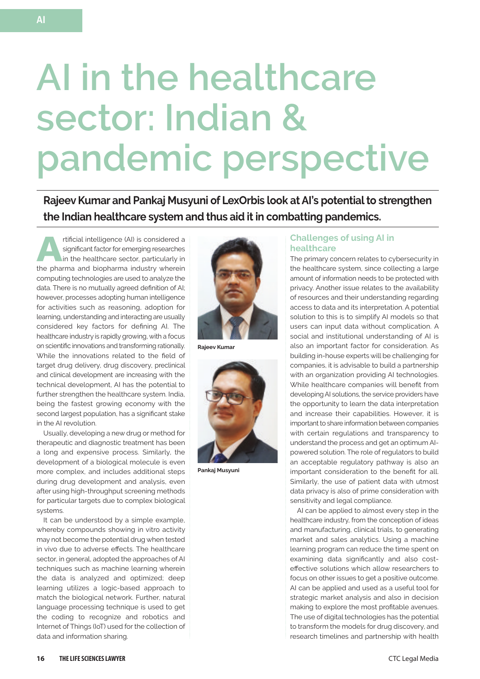# **AI in the healthcare sector: Indian & pandemic perspective**

**Rajeev Kumar and Pankaj Musyuni of LexOrbis look at AI's potential to strengthen the Indian healthcare system and thus aid it in combatting pandemics.**

**ARREG INTERNATIONAL INTERNATIONAL AND SEGREE A**<br>in the healthcare sector, particularly in<br>the pharma and biopharma inductry viberain significant factor for emerging researches the pharma and biopharma industry wherein computing technologies are used to analyze the data. There is no mutually agreed definition of AI; however, processes adopting human intelligence for activities such as reasoning, adoption for learning, understanding and interacting are usually considered key factors for defining AI. The healthcare industry is rapidly growing, with a focus on scientific innovations and transforming rationally. While the innovations related to the field of target drug delivery, drug discovery, preclinical and clinical development are increasing with the technical development, AI has the potential to further strengthen the healthcare system. India, being the fastest growing economy with the second largest population, has a significant stake in the AI revolution.

Usually, developing a new drug or method for therapeutic and diagnostic treatment has been a long and expensive process. Similarly, the development of a biological molecule is even more complex, and includes additional steps during drug development and analysis, even after using high-throughput screening methods for particular targets due to complex biological systems.

It can be understood by a simple example, whereby compounds showing in vitro activity may not become the potential drug when tested in vivo due to adverse effects. The healthcare sector, in general, adopted the approaches of AI techniques such as machine learning wherein the data is analyzed and optimized; deep learning utilizes a logic-based approach to match the biological network. Further, natural language processing technique is used to get the coding to recognize and robotics and Internet of Things (IoT) used for the collection of data and information sharing.



**Rajeev Kumar**



**Pankaj Musyuni**

## **Challenges of using AI in healthcare**

The primary concern relates to cybersecurity in the healthcare system, since collecting a large amount of information needs to be protected with privacy. Another issue relates to the availability of resources and their understanding regarding access to data and its interpretation. A potential solution to this is to simplify AI models so that users can input data without complication. A social and institutional understanding of AI is also an important factor for consideration. As building in-house experts will be challenging for companies, it is advisable to build a partnership with an organization providing AI technologies. While healthcare companies will benefit from developing AI solutions, the service providers have the opportunity to learn the data interpretation and increase their capabilities. However, it is important to share information between companies with certain regulations and transparency to understand the process and get an optimum AIpowered solution. The role of regulators to build an acceptable regulatory pathway is also an important consideration to the benefit for all. Similarly, the use of patient data with utmost data privacy is also of prime consideration with sensitivity and legal compliance.

AI can be applied to almost every step in the healthcare industry, from the conception of ideas and manufacturing, clinical trials, to generating market and sales analytics. Using a machine learning program can reduce the time spent on examining data significantly and also costeffective solutions which allow researchers to focus on other issues to get a positive outcome. AI can be applied and used as a useful tool for strategic market analysis and also in decision making to explore the most profitable avenues. The use of digital technologies has the potential to transform the models for drug discovery, and research timelines and partnership with health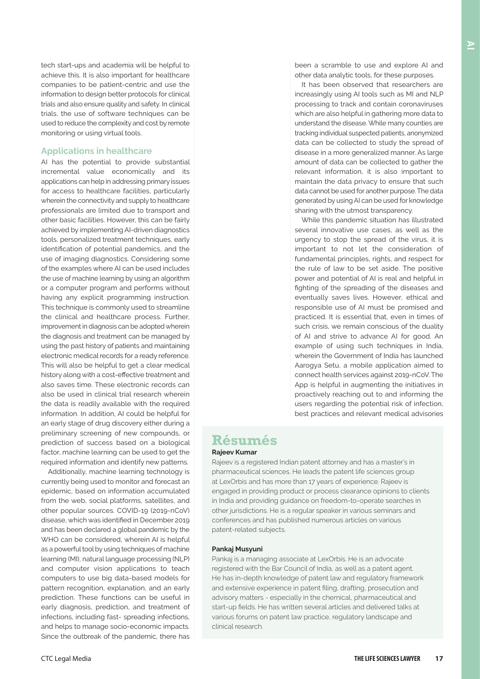tech start-ups and academia will be helpful to achieve this. It is also important for healthcare companies to be patient-centric and use the information to design better protocols for clinical trials and also ensure quality and safety. In clinical trials, the use of software techniques can be used to reduce the complexity and cost by remote monitoring or using virtual tools.

## **Applications in healthcare**

AI has the potential to provide substantial incremental value economically and its applications can help in addressing primary issues for access to healthcare facilities, particularly wherein the connectivity and supply to healthcare professionals are limited due to transport and other basic facilities. However, this can be fairly achieved by implementing AI-driven diagnostics tools, personalized treatment techniques, early identification of potential pandemics, and the use of imaging diagnostics. Considering some of the examples where AI can be used includes the use of machine learning by using an algorithm or a computer program and performs without having any explicit programming instruction. This technique is commonly used to streamline the clinical and healthcare process. Further, improvement in diagnosis can be adopted wherein the diagnosis and treatment can be managed by using the past history of patients and maintaining electronic medical records for a ready reference. This will also be helpful to get a clear medical history along with a cost-effective treatment and also saves time. These electronic records can also be used in clinical trial research wherein the data is readily available with the required information. In addition, AI could be helpful for an early stage of drug discovery either during a preliminary screening of new compounds, or prediction of success based on a biological factor, machine learning can be used to get the required information and identify new patterns.

Additionally, machine learning technology is currently being used to monitor and forecast an epidemic, based on information accumulated from the web, social platforms, satellites, and other popular sources. COVID-19 (2019-nCoV) disease, which was identified in December 2019 and has been declared a global pandemic by the WHO can be considered, wherein AI is helpful as a powerful tool by using techniques of machine learning (MI), natural language processing (NLP) and computer vision applications to teach computers to use big data-based models for pattern recognition, explanation, and an early prediction. These functions can be useful in early diagnosis, prediction, and treatment of infections, including fast- spreading infections, and helps to manage socio-economic impacts. Since the outbreak of the pandemic, there has

been a scramble to use and explore AI and other data analytic tools, for these purposes.

It has been observed that researchers are increasingly using AI tools such as MI and NLP processing to track and contain coronaviruses which are also helpful in gathering more data to understand the disease. While many counties are tracking individual suspected patients, anonymized data can be collected to study the spread of disease in a more generalized manner. As large amount of data can be collected to gather the relevant information, it is also important to maintain the data privacy to ensure that such data cannot be used for another purpose. The data generated by using AI can be used for knowledge sharing with the utmost transparency.

While this pandemic situation has illustrated several innovative use cases, as well as the urgency to stop the spread of the virus, it is important to not let the consideration of fundamental principles, rights, and respect for the rule of law to be set aside. The positive power and potential of AI is real and helpful in fighting of the spreading of the diseases and eventually saves lives. However, ethical and responsible use of AI must be promised and practiced. It is essential that, even in times of such crisis, we remain conscious of the duality of AI and strive to advance AI for good. An example of using such techniques in India, wherein the Government of India has launched Aarogya Setu, a mobile application aimed to connect health services against 2019-nCoV. The App is helpful in augmenting the initiatives in proactively reaching out to and informing the users regarding the potential risk of infection, best practices and relevant medical advisories

# **Résumés Rajeev Kumar**

Rajeev is a registered Indian patent attorney and has a master's in pharmaceutical sciences. He leads the patent life sciences group at LexOrbis and has more than 17 years of experience. Rajeev is engaged in providing product or process clearance opinions to clients in India and providing guidance on freedom-to-operate searches in other jurisdictions. He is a regular speaker in various seminars and conferences and has published numerous articles on various patent-related subjects.

#### **Pankaj Musyuni**

Pankaj is a managing associate at LexOrbis. He is an advocate registered with the Bar Council of India, as well as a patent agent. He has in-depth knowledge of patent law and regulatory framework and extensive experience in patent filing, drafting, prosecution and advisory matters - especially in the chemical, pharmaceutical and start-up fields. He has written several articles and delivered talks at various forums on patent law practice, regulatory landscape and clinical research.